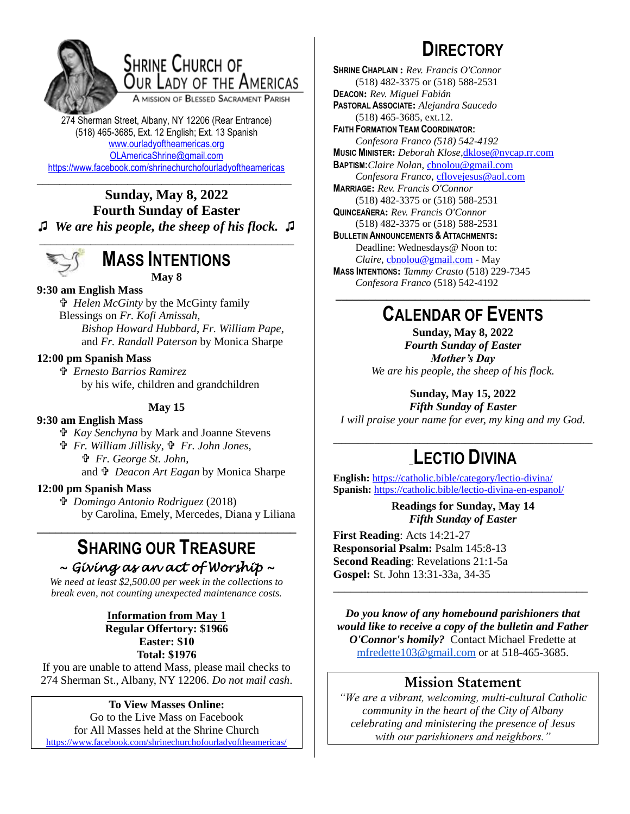

## **SHRINE CHURCH OF** OUR LADY OF THE AMERICAS

A MISSION OF BLESSED SACRAMENT PARISH

274 Sherman Street, Albany, NY 12206 (Rear Entrance) (518) 465-3685, Ext. 12 English; Ext. 13 Spanish [www.ourladyoftheamericas.org](http://www.ourladyoftheamericas.org/) [OLAmericaShrine@gmail.com](mailto:OLAmericaShrine@gmail.com) <https://www.facebook.com/shrinechurchofourladyoftheamericas>

## \_\_\_\_\_\_\_\_\_\_\_\_\_\_\_\_\_\_\_\_\_\_\_\_\_\_\_\_\_\_\_\_\_\_\_\_\_\_\_\_\_\_\_\_\_ **Sunday, May 8, 2022 Fourth Sunday of Easter**

**♫** *We are his people, the sheep of his flock.* **♫** \_\_\_\_\_\_\_\_\_\_\_\_\_\_\_\_\_\_\_\_\_\_\_\_\_\_\_\_\_\_\_\_\_\_\_\_\_\_\_\_\_\_\_\_\_



## **MASS INTENTIONS May 8**

## **9:30 am English Mass**

 *Helen McGinty* by the McGinty family Blessings on *Fr. Kofi Amissah*, *Bishop Howard Hubbard*, *Fr. William Pape*, and *Fr. Randall Paterson* by Monica Sharpe

## **12:00 pm Spanish Mass**

 *Ernesto Barrios Ramirez*  by his wife, children and grandchildren

**May 15**

### **9:30 am English Mass**

 *Kay Senchyna* by Mark and Joanne Stevens

 *Fr. William Jillisky*,  *Fr. John Jones*,  *Fr. George St. John*, and  $\mathbf{\hat{v}}$  *Deacon Art Eagan* by Monica Sharpe

### **12:00 pm Spanish Mass**

 *Domingo Antonio Rodriguez* (2018) by Carolina, Emely, Mercedes, Diana y Liliana

## **SHARING OUR TREASURE** *~ Giving as an act of Worship ~*

**\_\_\_\_\_\_\_\_\_\_\_\_\_\_\_\_\_\_\_\_\_\_\_\_\_\_\_\_\_\_\_\_\_\_\_\_\_\_\_\_\_\_**

*We need at least \$2,500.00 per week in the collections to break even, not counting unexpected maintenance costs.*

## **Information from May 1 Regular Offertory: \$1966 Easter: \$10**

**Total: \$1976**

If you are unable to attend Mass, please mail checks to 274 Sherman St., Albany, NY 12206. *Do not mail cash*.

#### **To View Masses Online:** Go to the Live Mass on Facebook

for All Masses held at the Shrine Church <https://www.facebook.com/shrinechurchofourladyoftheamericas/>

# **DIRECTORY**

**SHRINE CHAPLAIN :** *Rev. Francis O'Connor* (518) 482-3375 or (518) 588-2531 **DEACON:** *Rev. Miguel Fabián* **PASTORAL ASSOCIATE:** *Alejandra Saucedo* (518) 465-3685, ext.12. **FAITH FORMATION TEAM COORDINATOR:** *Confesora Franco (518) 542-4192* **MUSIC MINISTER:** *Deborah Klose,*[dklose@nycap.rr.com](mailto:dklose@nycap.rr.com) **BAPTISM:***Claire Nolan*, [cbnolou@gmail.com](mailto:cbnolou@gmail.com) *Confesora Franco*, [cflovejesus@aol.com](mailto:cflovejesus@aol.com) **MARRIAGE:** *Rev. Francis O'Connor* (518) 482-3375 or (518) 588-2531 **QUINCEAÑERA:** *Rev. Francis O'Connor* (518) 482-3375 or (518) 588-2531 **BULLETIN ANNOUNCEMENTS & ATTACHMENTS:** Deadline: Wednesdays@ Noon to: *Claire,* [cbnolou@gmail.com](mailto:cbnolou@gmail.com) - May **MASS INTENTIONS:** *Tammy Crasto* (518) 229-7345 *Confesora Franco* (518) 542-4192 **\_\_\_\_\_\_\_\_\_\_\_\_\_\_\_\_\_\_\_\_\_\_\_\_\_\_\_\_\_\_\_\_\_\_\_\_\_\_\_\_\_\_\_\_\_**

## **CALENDAR OF EVENTS**

**Sunday, May 8, 2022** *Fourth Sunday of Easter Mother's Day We are his people, the sheep of his flock.*

**Sunday, May 15, 2022**

*Fifth Sunday of Easter I will praise your name for ever, my king and my God.*

## \_\_\_\_\_\_\_\_\_\_\_\_\_\_\_\_\_\_\_\_\_\_\_\_\_\_\_\_\_\_\_\_\_\_\_\_\_\_\_\_\_\_\_\_\_\_\_\_\_\_\_\_\_\_\_\_\_\_\_\_\_\_\_ \_**LECTIO DIVINA**

**English:** <https://catholic.bible/category/lectio-divina/> **Spanish:** <https://catholic.bible/lectio-divina-en-espanol/>

> **Readings for Sunday, May 14** *Fifth Sunday of Easter*

**First Reading**: Acts 14:21-27 **Responsorial Psalm:** Psalm 145:8-13 **Second Reading**: Revelations 21:1-5a **Gospel:** St. John 13:31-33a, 34-35

*Do you know of any homebound parishioners that would like to receive a copy of the bulletin and Father O'Connor's homily?* Contact Michael Fredette at [mfredette103@gmail.com](mailto:mfredette103@gmail.com) or at 518-465-3685.

\_\_\_\_\_\_\_\_\_\_\_\_\_\_\_\_\_\_\_\_\_\_\_\_\_\_\_\_\_\_\_\_\_\_\_\_\_\_\_\_\_\_\_\_\_

## **Mission Statement**

*"We are a vibrant, welcoming, multi-cultural Catholic community in the heart of the City of Albany celebrating and ministering the presence of Jesus with our parishioners and neighbors."*